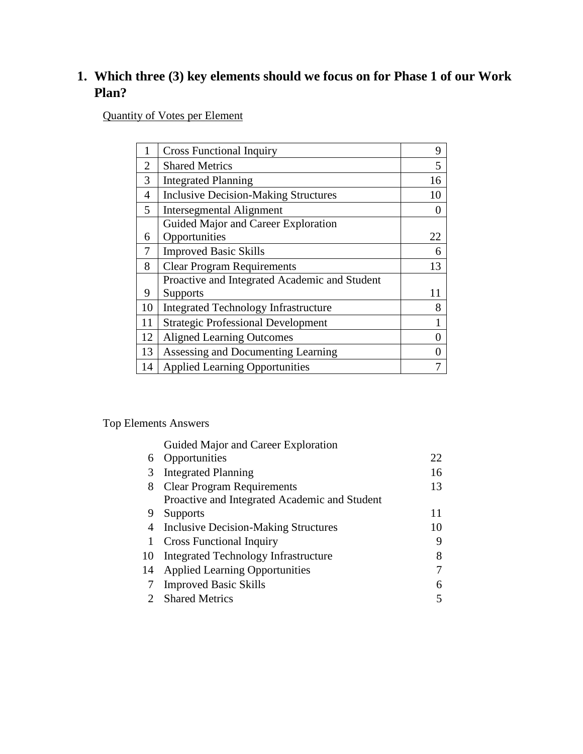# **1. Which three (3) key elements should we focus on for Phase 1 of our Work Plan?**

Quantity of Votes per Element

|    | <b>Cross Functional Inquiry</b>               | 9  |
|----|-----------------------------------------------|----|
| 2  | <b>Shared Metrics</b>                         | 5  |
| 3  | <b>Integrated Planning</b>                    | 16 |
| 4  | <b>Inclusive Decision-Making Structures</b>   | 10 |
| 5  | <b>Intersegmental Alignment</b>               |    |
|    | Guided Major and Career Exploration           |    |
| 6  | Opportunities                                 | 22 |
| 7  | <b>Improved Basic Skills</b>                  | 6  |
| 8  | <b>Clear Program Requirements</b>             | 13 |
|    | Proactive and Integrated Academic and Student |    |
| 9  | <b>Supports</b>                               | 11 |
| 10 | <b>Integrated Technology Infrastructure</b>   | 8  |
| 11 | <b>Strategic Professional Development</b>     |    |
| 12 | <b>Aligned Learning Outcomes</b>              |    |
| 13 | Assessing and Documenting Learning            |    |
| 14 | <b>Applied Learning Opportunities</b>         |    |

#### Top Elements Answers

|    | Guided Major and Career Exploration           |    |
|----|-----------------------------------------------|----|
| 6  | Opportunities                                 | 22 |
| 3  | <b>Integrated Planning</b>                    | 16 |
| 8  | <b>Clear Program Requirements</b>             | 13 |
|    | Proactive and Integrated Academic and Student |    |
| 9  | <b>Supports</b>                               | 11 |
| 4  | <b>Inclusive Decision-Making Structures</b>   | 10 |
| 1  | <b>Cross Functional Inquiry</b>               | 9  |
| 10 | Integrated Technology Infrastructure          |    |
| 14 | <b>Applied Learning Opportunities</b>         |    |
| 7  | <b>Improved Basic Skills</b>                  | 6  |
|    | <b>Shared Metrics</b>                         |    |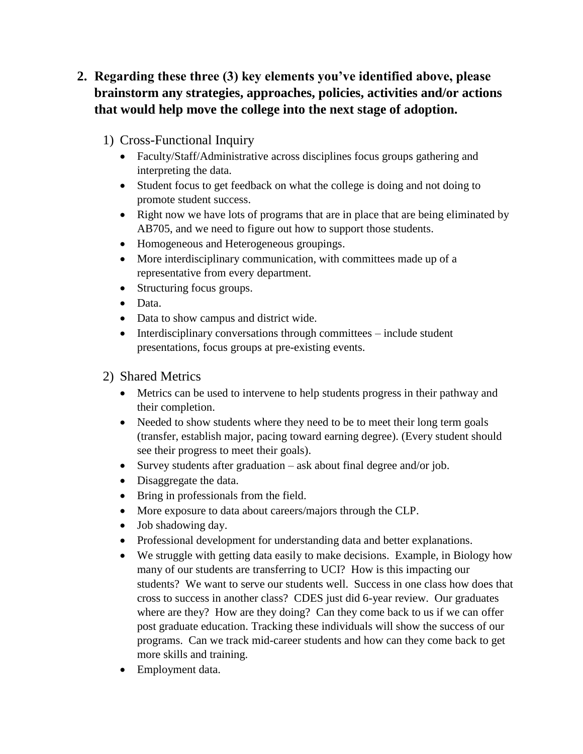- **2. Regarding these three (3) key elements you've identified above, please brainstorm any strategies, approaches, policies, activities and/or actions that would help move the college into the next stage of adoption.**
	- 1) Cross-Functional Inquiry
		- Faculty/Staff/Administrative across disciplines focus groups gathering and interpreting the data.
		- Student focus to get feedback on what the college is doing and not doing to promote student success.
		- Right now we have lots of programs that are in place that are being eliminated by AB705, and we need to figure out how to support those students.
		- Homogeneous and Heterogeneous groupings.
		- More interdisciplinary communication, with committees made up of a representative from every department.
		- Structuring focus groups.
		- Data.
		- Data to show campus and district wide.
		- $\bullet$  Interdisciplinary conversations through committees include student presentations, focus groups at pre-existing events.
	- 2) Shared Metrics
		- Metrics can be used to intervene to help students progress in their pathway and their completion.
		- Needed to show students where they need to be to meet their long term goals (transfer, establish major, pacing toward earning degree). (Every student should see their progress to meet their goals).
		- Survey students after graduation ask about final degree and/or job.
		- Disaggregate the data.
		- Bring in professionals from the field.
		- More exposure to data about careers/majors through the CLP.
		- Job shadowing day.
		- Professional development for understanding data and better explanations.
		- We struggle with getting data easily to make decisions. Example, in Biology how many of our students are transferring to UCI? How is this impacting our students? We want to serve our students well. Success in one class how does that cross to success in another class? CDES just did 6-year review. Our graduates where are they? How are they doing? Can they come back to us if we can offer post graduate education. Tracking these individuals will show the success of our programs. Can we track mid-career students and how can they come back to get more skills and training.
		- Employment data.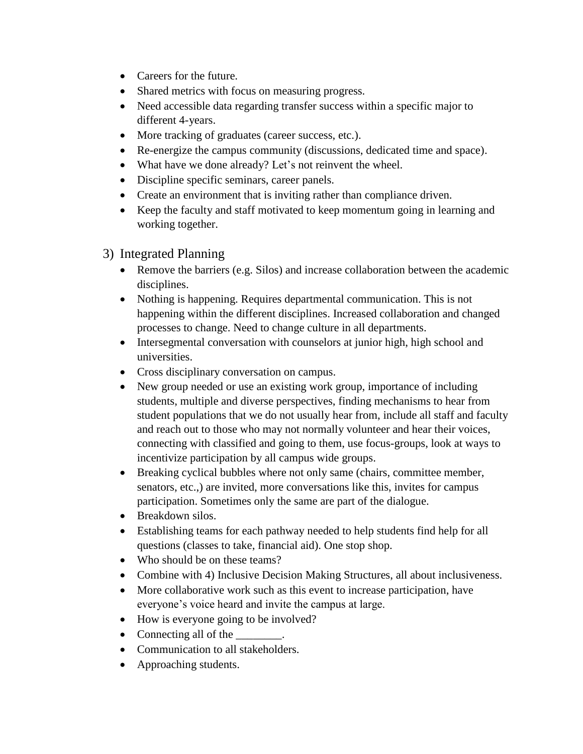- Careers for the future.
- Shared metrics with focus on measuring progress.
- Need accessible data regarding transfer success within a specific major to different 4-years.
- More tracking of graduates (career success, etc.).
- Re-energize the campus community (discussions, dedicated time and space).
- What have we done already? Let's not reinvent the wheel.
- Discipline specific seminars, career panels.
- Create an environment that is inviting rather than compliance driven.
- Keep the faculty and staff motivated to keep momentum going in learning and working together.
- 3) Integrated Planning
	- Remove the barriers (e.g. Silos) and increase collaboration between the academic disciplines.
	- Nothing is happening. Requires departmental communication. This is not happening within the different disciplines. Increased collaboration and changed processes to change. Need to change culture in all departments.
	- Intersegmental conversation with counselors at junior high, high school and universities.
	- Cross disciplinary conversation on campus.
	- New group needed or use an existing work group, importance of including students, multiple and diverse perspectives, finding mechanisms to hear from student populations that we do not usually hear from, include all staff and faculty and reach out to those who may not normally volunteer and hear their voices, connecting with classified and going to them, use focus-groups, look at ways to incentivize participation by all campus wide groups.
	- Breaking cyclical bubbles where not only same (chairs, committee member, senators, etc.,) are invited, more conversations like this, invites for campus participation. Sometimes only the same are part of the dialogue.
	- Breakdown silos.
	- Establishing teams for each pathway needed to help students find help for all questions (classes to take, financial aid). One stop shop.
	- Who should be on these teams?
	- Combine with 4) Inclusive Decision Making Structures, all about inclusiveness.
	- More collaborative work such as this event to increase participation, have everyone's voice heard and invite the campus at large.
	- How is everyone going to be involved?
	- Connecting all of the
	- Communication to all stakeholders.
	- Approaching students.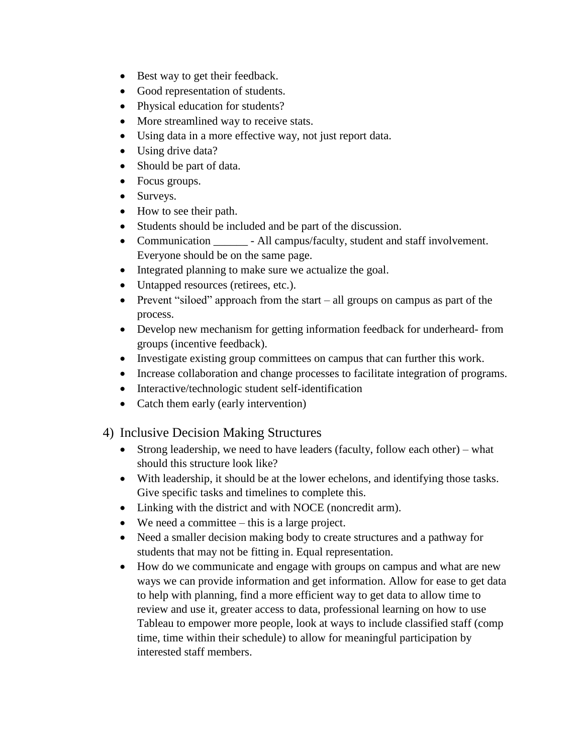- Best way to get their feedback.
- Good representation of students.
- Physical education for students?
- More streamlined way to receive stats.
- Using data in a more effective way, not just report data.
- Using drive data?
- Should be part of data.
- Focus groups.
- Surveys.
- How to see their path.
- Students should be included and be part of the discussion.
- Communication All campus/faculty, student and staff involvement. Everyone should be on the same page.
- Integrated planning to make sure we actualize the goal.
- Untapped resources (retirees, etc.).
- Prevent "siloed" approach from the start all groups on campus as part of the process.
- Develop new mechanism for getting information feedback for underheard- from groups (incentive feedback).
- Investigate existing group committees on campus that can further this work.
- Increase collaboration and change processes to facilitate integration of programs.
- Interactive/technologic student self-identification
- Catch them early (early intervention)

### 4) Inclusive Decision Making Structures

- Strong leadership, we need to have leaders (faculty, follow each other) what should this structure look like?
- With leadership, it should be at the lower echelons, and identifying those tasks. Give specific tasks and timelines to complete this.
- Linking with the district and with NOCE (noncredit arm).
- We need a committee this is a large project.
- Need a smaller decision making body to create structures and a pathway for students that may not be fitting in. Equal representation.
- How do we communicate and engage with groups on campus and what are new ways we can provide information and get information. Allow for ease to get data to help with planning, find a more efficient way to get data to allow time to review and use it, greater access to data, professional learning on how to use Tableau to empower more people, look at ways to include classified staff (comp time, time within their schedule) to allow for meaningful participation by interested staff members.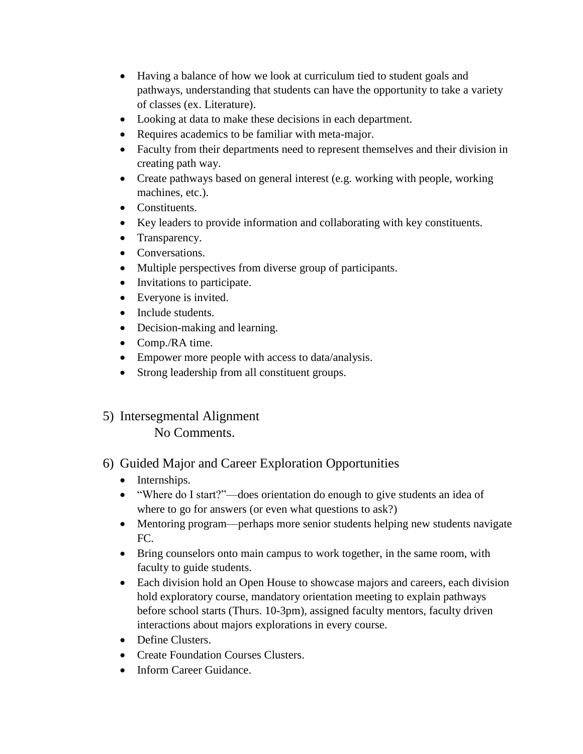- Having a balance of how we look at curriculum tied to student goals and pathways, understanding that students can have the opportunity to take a variety of classes (ex. Literature).
- Looking at data to make these decisions in each department.
- Requires academics to be familiar with meta-major.
- Faculty from their departments need to represent themselves and their division in creating path way.
- Create pathways based on general interest (e.g. working with people, working machines, etc.).
- Constituents.
- Key leaders to provide information and collaborating with key constituents.
- Transparency.
- Conversations.
- Multiple perspectives from diverse group of participants.
- Invitations to participate.
- Everyone is invited.
- Include students.
- Decision-making and learning.
- Comp./RA time.
- Empower more people with access to data/analysis.
- Strong leadership from all constituent groups.
- 5) Intersegmental Alignment No Comments.

### 6) Guided Major and Career Exploration Opportunities

- Internships.
- "Where do I start?"—does orientation do enough to give students an idea of where to go for answers (or even what questions to ask?)
- Mentoring program—perhaps more senior students helping new students navigate FC.
- Bring counselors onto main campus to work together, in the same room, with faculty to guide students.
- Each division hold an Open House to showcase majors and careers, each division hold exploratory course, mandatory orientation meeting to explain pathways before school starts (Thurs. 10-3pm), assigned faculty mentors, faculty driven interactions about majors explorations in every course.
- Define Clusters.
- Create Foundation Courses Clusters.
- Inform Career Guidance.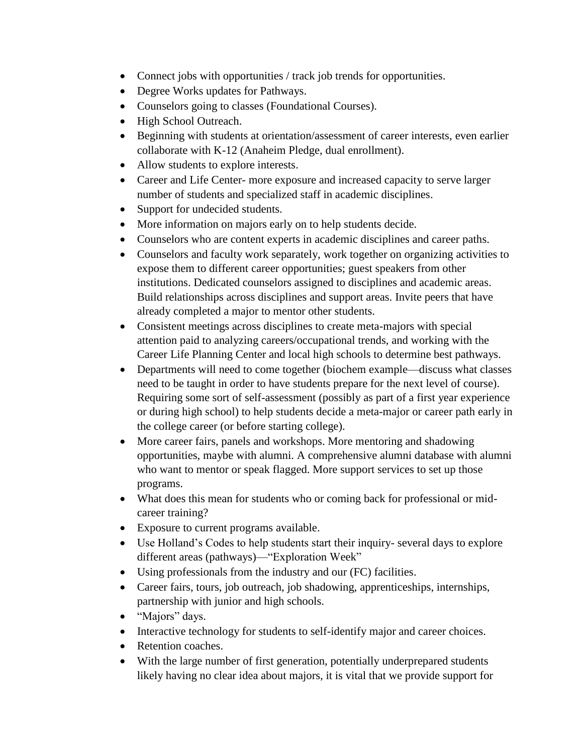- Connect jobs with opportunities / track job trends for opportunities.
- Degree Works updates for Pathways.
- Counselors going to classes (Foundational Courses).
- High School Outreach.
- Beginning with students at orientation/assessment of career interests, even earlier collaborate with K-12 (Anaheim Pledge, dual enrollment).
- Allow students to explore interests.
- Career and Life Center- more exposure and increased capacity to serve larger number of students and specialized staff in academic disciplines.
- Support for undecided students.
- More information on majors early on to help students decide.
- Counselors who are content experts in academic disciplines and career paths.
- Counselors and faculty work separately, work together on organizing activities to expose them to different career opportunities; guest speakers from other institutions. Dedicated counselors assigned to disciplines and academic areas. Build relationships across disciplines and support areas. Invite peers that have already completed a major to mentor other students.
- Consistent meetings across disciplines to create meta-majors with special attention paid to analyzing careers/occupational trends, and working with the Career Life Planning Center and local high schools to determine best pathways.
- Departments will need to come together (biochem example—discuss what classes need to be taught in order to have students prepare for the next level of course). Requiring some sort of self-assessment (possibly as part of a first year experience or during high school) to help students decide a meta-major or career path early in the college career (or before starting college).
- More career fairs, panels and workshops. More mentoring and shadowing opportunities, maybe with alumni. A comprehensive alumni database with alumni who want to mentor or speak flagged. More support services to set up those programs.
- What does this mean for students who or coming back for professional or midcareer training?
- Exposure to current programs available.
- Use Holland's Codes to help students start their inquiry- several days to explore different areas (pathways)—"Exploration Week"
- Using professionals from the industry and our (FC) facilities.
- Career fairs, tours, job outreach, job shadowing, apprenticeships, internships, partnership with junior and high schools.
- "Majors" days.
- Interactive technology for students to self-identify major and career choices.
- Retention coaches.
- With the large number of first generation, potentially underprepared students likely having no clear idea about majors, it is vital that we provide support for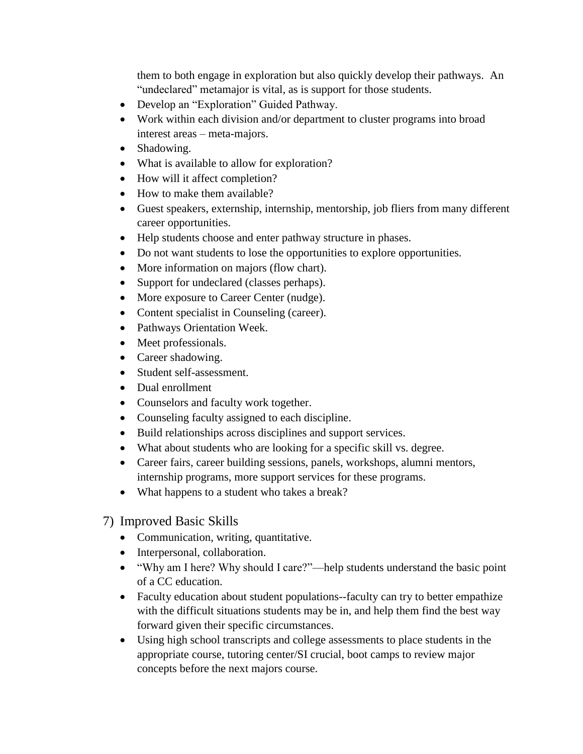them to both engage in exploration but also quickly develop their pathways. An "undeclared" metamajor is vital, as is support for those students.

- Develop an "Exploration" Guided Pathway.
- Work within each division and/or department to cluster programs into broad interest areas – meta-majors.
- Shadowing.
- What is available to allow for exploration?
- How will it affect completion?
- How to make them available?
- Guest speakers, externship, internship, mentorship, job fliers from many different career opportunities.
- Help students choose and enter pathway structure in phases.
- Do not want students to lose the opportunities to explore opportunities.
- More information on majors (flow chart).
- Support for undeclared (classes perhaps).
- More exposure to Career Center (nudge).
- Content specialist in Counseling (career).
- Pathways Orientation Week.
- Meet professionals.
- Career shadowing.
- Student self-assessment.
- Dual enrollment
- Counselors and faculty work together.
- Counseling faculty assigned to each discipline.
- Build relationships across disciplines and support services.
- What about students who are looking for a specific skill vs. degree.
- Career fairs, career building sessions, panels, workshops, alumni mentors, internship programs, more support services for these programs.
- What happens to a student who takes a break?
- 7) Improved Basic Skills
	- Communication, writing, quantitative.
	- Interpersonal, collaboration.
	- "Why am I here? Why should I care?"—help students understand the basic point of a CC education.
	- Faculty education about student populations--faculty can try to better empathize with the difficult situations students may be in, and help them find the best way forward given their specific circumstances.
	- Using high school transcripts and college assessments to place students in the appropriate course, tutoring center/SI crucial, boot camps to review major concepts before the next majors course.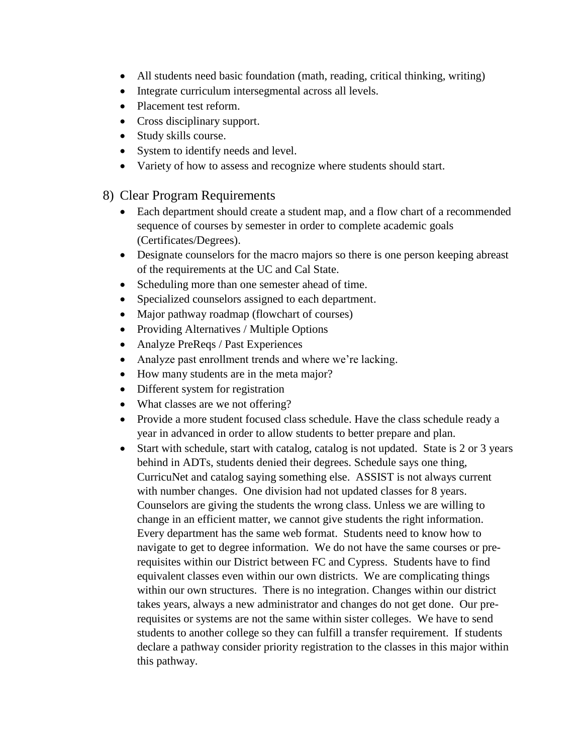- All students need basic foundation (math, reading, critical thinking, writing)
- Integrate curriculum intersegmental across all levels.
- Placement test reform.
- Cross disciplinary support.
- Study skills course.
- System to identify needs and level.
- Variety of how to assess and recognize where students should start.

#### 8) Clear Program Requirements

- Each department should create a student map, and a flow chart of a recommended sequence of courses by semester in order to complete academic goals (Certificates/Degrees).
- Designate counselors for the macro majors so there is one person keeping abreast of the requirements at the UC and Cal State.
- Scheduling more than one semester ahead of time.
- Specialized counselors assigned to each department.
- Major pathway roadmap (flowchart of courses)
- Providing Alternatives / Multiple Options
- Analyze PreReqs / Past Experiences
- Analyze past enrollment trends and where we're lacking.
- How many students are in the meta major?
- Different system for registration
- What classes are we not offering?
- Provide a more student focused class schedule. Have the class schedule ready a year in advanced in order to allow students to better prepare and plan.
- Start with schedule, start with catalog, catalog is not updated. State is 2 or 3 years behind in ADTs, students denied their degrees. Schedule says one thing, CurricuNet and catalog saying something else. ASSIST is not always current with number changes. One division had not updated classes for 8 years. Counselors are giving the students the wrong class. Unless we are willing to change in an efficient matter, we cannot give students the right information. Every department has the same web format. Students need to know how to navigate to get to degree information. We do not have the same courses or prerequisites within our District between FC and Cypress. Students have to find equivalent classes even within our own districts. We are complicating things within our own structures. There is no integration. Changes within our district takes years, always a new administrator and changes do not get done. Our prerequisites or systems are not the same within sister colleges. We have to send students to another college so they can fulfill a transfer requirement. If students declare a pathway consider priority registration to the classes in this major within this pathway.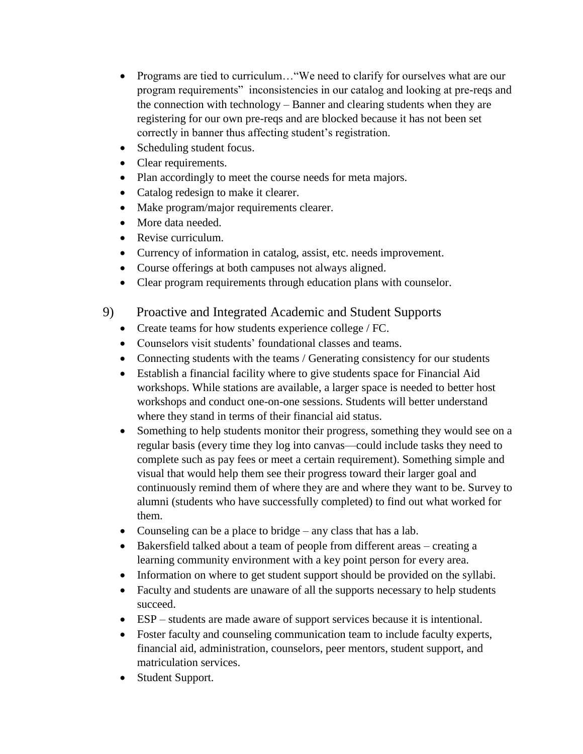- Programs are tied to curriculum…"We need to clarify for ourselves what are our program requirements" inconsistencies in our catalog and looking at pre-reqs and the connection with technology – Banner and clearing students when they are registering for our own pre-reqs and are blocked because it has not been set correctly in banner thus affecting student's registration.
- Scheduling student focus.
- Clear requirements.
- Plan accordingly to meet the course needs for meta majors.
- Catalog redesign to make it clearer.
- Make program/major requirements clearer.
- More data needed.
- Revise curriculum.
- Currency of information in catalog, assist, etc. needs improvement.
- Course offerings at both campuses not always aligned.
- Clear program requirements through education plans with counselor.
- 9) Proactive and Integrated Academic and Student Supports
	- Create teams for how students experience college / FC.
	- Counselors visit students' foundational classes and teams.
	- Connecting students with the teams / Generating consistency for our students
	- Establish a financial facility where to give students space for Financial Aid workshops. While stations are available, a larger space is needed to better host workshops and conduct one-on-one sessions. Students will better understand where they stand in terms of their financial aid status.
	- Something to help students monitor their progress, something they would see on a regular basis (every time they log into canvas—could include tasks they need to complete such as pay fees or meet a certain requirement). Something simple and visual that would help them see their progress toward their larger goal and continuously remind them of where they are and where they want to be. Survey to alumni (students who have successfully completed) to find out what worked for them.
	- Counseling can be a place to bridge any class that has a lab.
	- Bakersfield talked about a team of people from different areas creating a learning community environment with a key point person for every area.
	- Information on where to get student support should be provided on the syllabi.
	- Faculty and students are unaware of all the supports necessary to help students succeed.
	- ESP students are made aware of support services because it is intentional.
	- Foster faculty and counseling communication team to include faculty experts, financial aid, administration, counselors, peer mentors, student support, and matriculation services.
	- Student Support.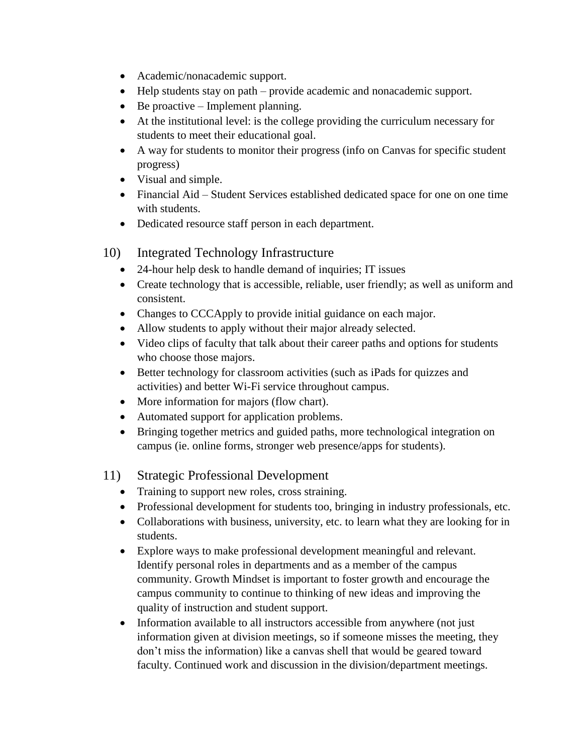- Academic/nonacademic support.
- Help students stay on path provide academic and nonacademic support.
- $\bullet$  Be proactive Implement planning.
- At the institutional level: is the college providing the curriculum necessary for students to meet their educational goal.
- A way for students to monitor their progress (info on Canvas for specific student progress)
- Visual and simple.
- Financial Aid Student Services established dedicated space for one on one time with students.
- Dedicated resource staff person in each department.
- 10) Integrated Technology Infrastructure
	- 24-hour help desk to handle demand of inquiries; IT issues
	- Create technology that is accessible, reliable, user friendly; as well as uniform and consistent.
	- Changes to CCCApply to provide initial guidance on each major.
	- Allow students to apply without their major already selected.
	- Video clips of faculty that talk about their career paths and options for students who choose those majors.
	- Better technology for classroom activities (such as iPads for quizzes and activities) and better Wi-Fi service throughout campus.
	- More information for majors (flow chart).
	- Automated support for application problems.
	- Bringing together metrics and guided paths, more technological integration on campus (ie. online forms, stronger web presence/apps for students).

### 11) Strategic Professional Development

- Training to support new roles, cross straining.
- Professional development for students too, bringing in industry professionals, etc.
- Collaborations with business, university, etc. to learn what they are looking for in students.
- Explore ways to make professional development meaningful and relevant. Identify personal roles in departments and as a member of the campus community. Growth Mindset is important to foster growth and encourage the campus community to continue to thinking of new ideas and improving the quality of instruction and student support.
- Information available to all instructors accessible from anywhere (not just information given at division meetings, so if someone misses the meeting, they don't miss the information) like a canvas shell that would be geared toward faculty. Continued work and discussion in the division/department meetings.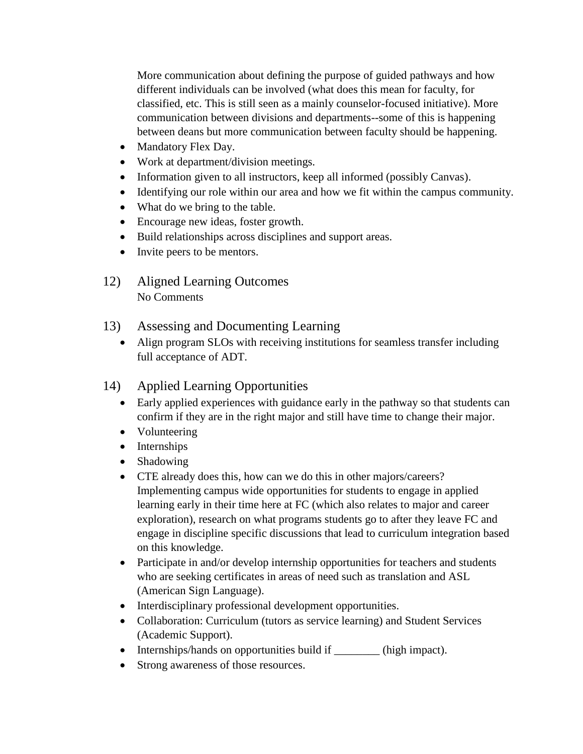More communication about defining the purpose of guided pathways and how different individuals can be involved (what does this mean for faculty, for classified, etc. This is still seen as a mainly counselor-focused initiative). More communication between divisions and departments--some of this is happening between deans but more communication between faculty should be happening.

- Mandatory Flex Day.
- Work at department/division meetings.
- Information given to all instructors, keep all informed (possibly Canvas).
- Identifying our role within our area and how we fit within the campus community.
- What do we bring to the table.
- Encourage new ideas, foster growth.
- Build relationships across disciplines and support areas.
- Invite peers to be mentors.
- 12) Aligned Learning Outcomes No Comments
- 13) Assessing and Documenting Learning
	- Align program SLOs with receiving institutions for seamless transfer including full acceptance of ADT.
- 14) Applied Learning Opportunities
	- Early applied experiences with guidance early in the pathway so that students can confirm if they are in the right major and still have time to change their major.
	- Volunteering
	- Internships
	- Shadowing
	- CTE already does this, how can we do this in other majors/careers? Implementing campus wide opportunities for students to engage in applied learning early in their time here at FC (which also relates to major and career exploration), research on what programs students go to after they leave FC and engage in discipline specific discussions that lead to curriculum integration based on this knowledge.
	- Participate in and/or develop internship opportunities for teachers and students who are seeking certificates in areas of need such as translation and ASL (American Sign Language).
	- Interdisciplinary professional development opportunities.
	- Collaboration: Curriculum (tutors as service learning) and Student Services (Academic Support).
	- Internships/hands on opportunities build if \_\_\_\_\_\_\_\_\_ (high impact).
	- Strong awareness of those resources.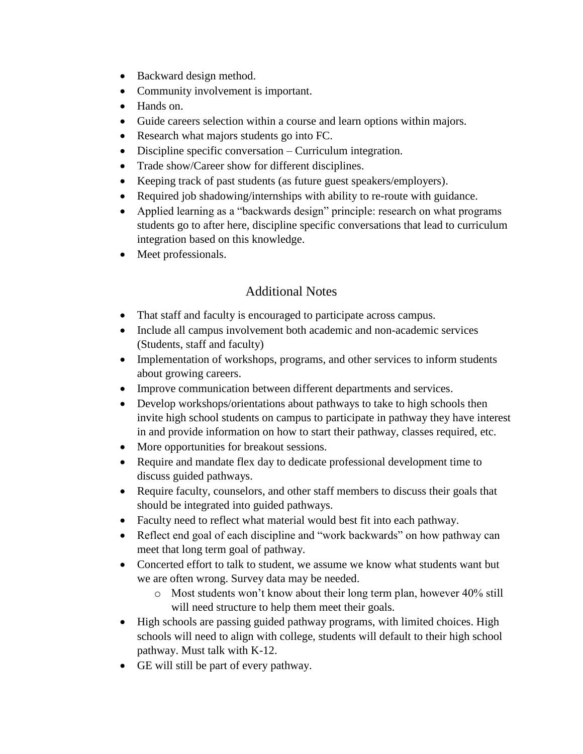- Backward design method.
- Community involvement is important.
- Hands on.
- Guide careers selection within a course and learn options within majors.
- Research what majors students go into FC.
- Discipline specific conversation Curriculum integration.
- Trade show/Career show for different disciplines.
- Keeping track of past students (as future guest speakers/employers).
- Required job shadowing/internships with ability to re-route with guidance.
- Applied learning as a "backwards design" principle: research on what programs students go to after here, discipline specific conversations that lead to curriculum integration based on this knowledge.
- Meet professionals.

## Additional Notes

- That staff and faculty is encouraged to participate across campus.
- Include all campus involvement both academic and non-academic services (Students, staff and faculty)
- Implementation of workshops, programs, and other services to inform students about growing careers.
- Improve communication between different departments and services.
- Develop workshops/orientations about pathways to take to high schools then invite high school students on campus to participate in pathway they have interest in and provide information on how to start their pathway, classes required, etc.
- More opportunities for breakout sessions.
- Require and mandate flex day to dedicate professional development time to discuss guided pathways.
- Require faculty, counselors, and other staff members to discuss their goals that should be integrated into guided pathways.
- Faculty need to reflect what material would best fit into each pathway.
- Reflect end goal of each discipline and "work backwards" on how pathway can meet that long term goal of pathway.
- Concerted effort to talk to student, we assume we know what students want but we are often wrong. Survey data may be needed.
	- o Most students won't know about their long term plan, however 40% still will need structure to help them meet their goals.
- High schools are passing guided pathway programs, with limited choices. High schools will need to align with college, students will default to their high school pathway. Must talk with K-12.
- GE will still be part of every pathway.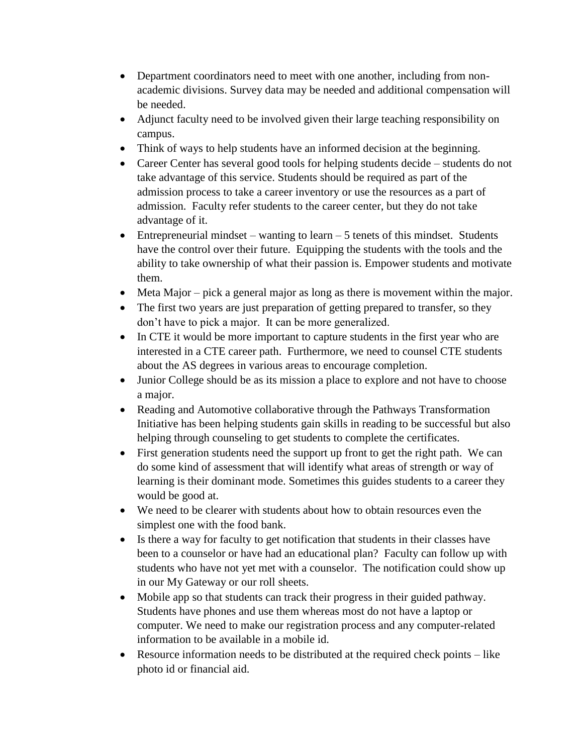- Department coordinators need to meet with one another, including from nonacademic divisions. Survey data may be needed and additional compensation will be needed.
- Adjunct faculty need to be involved given their large teaching responsibility on campus.
- Think of ways to help students have an informed decision at the beginning.
- Career Center has several good tools for helping students decide students do not take advantage of this service. Students should be required as part of the admission process to take a career inventory or use the resources as a part of admission. Faculty refer students to the career center, but they do not take advantage of it.
- Entrepreneurial mindset wanting to learn  $-5$  tenets of this mindset. Students have the control over their future. Equipping the students with the tools and the ability to take ownership of what their passion is. Empower students and motivate them.
- Meta Major pick a general major as long as there is movement within the major.
- The first two years are just preparation of getting prepared to transfer, so they don't have to pick a major. It can be more generalized.
- In CTE it would be more important to capture students in the first year who are interested in a CTE career path. Furthermore, we need to counsel CTE students about the AS degrees in various areas to encourage completion.
- Junior College should be as its mission a place to explore and not have to choose a major.
- Reading and Automotive collaborative through the Pathways Transformation Initiative has been helping students gain skills in reading to be successful but also helping through counseling to get students to complete the certificates.
- First generation students need the support up front to get the right path. We can do some kind of assessment that will identify what areas of strength or way of learning is their dominant mode. Sometimes this guides students to a career they would be good at.
- We need to be clearer with students about how to obtain resources even the simplest one with the food bank.
- Is there a way for faculty to get notification that students in their classes have been to a counselor or have had an educational plan? Faculty can follow up with students who have not yet met with a counselor. The notification could show up in our My Gateway or our roll sheets.
- Mobile app so that students can track their progress in their guided pathway. Students have phones and use them whereas most do not have a laptop or computer. We need to make our registration process and any computer-related information to be available in a mobile id.
- Resource information needs to be distributed at the required check points like photo id or financial aid.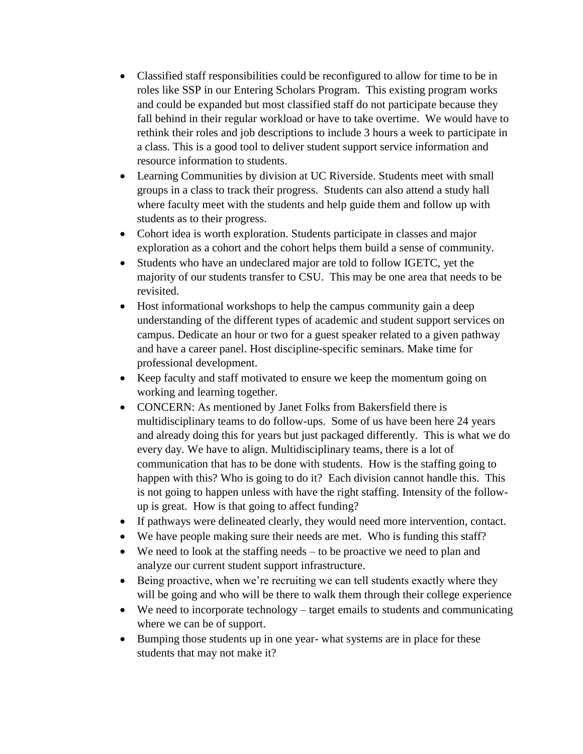- Classified staff responsibilities could be reconfigured to allow for time to be in roles like SSP in our Entering Scholars Program. This existing program works and could be expanded but most classified staff do not participate because they fall behind in their regular workload or have to take overtime. We would have to rethink their roles and job descriptions to include 3 hours a week to participate in a class. This is a good tool to deliver student support service information and resource information to students.
- Learning Communities by division at UC Riverside. Students meet with small groups in a class to track their progress. Students can also attend a study hall where faculty meet with the students and help guide them and follow up with students as to their progress.
- Cohort idea is worth exploration. Students participate in classes and major exploration as a cohort and the cohort helps them build a sense of community.
- Students who have an undeclared major are told to follow IGETC, yet the majority of our students transfer to CSU. This may be one area that needs to be revisited.
- Host informational workshops to help the campus community gain a deep understanding of the different types of academic and student support services on campus. Dedicate an hour or two for a guest speaker related to a given pathway and have a career panel. Host discipline-specific seminars. Make time for professional development.
- Keep faculty and staff motivated to ensure we keep the momentum going on working and learning together.
- CONCERN: As mentioned by Janet Folks from Bakersfield there is multidisciplinary teams to do follow-ups. Some of us have been here 24 years and already doing this for years but just packaged differently. This is what we do every day. We have to align. Multidisciplinary teams, there is a lot of communication that has to be done with students. How is the staffing going to happen with this? Who is going to do it? Each division cannot handle this. This is not going to happen unless with have the right staffing. Intensity of the followup is great. How is that going to affect funding?
- If pathways were delineated clearly, they would need more intervention, contact.
- We have people making sure their needs are met. Who is funding this staff?
- We need to look at the staffing needs to be proactive we need to plan and analyze our current student support infrastructure.
- Being proactive, when we're recruiting we can tell students exactly where they will be going and who will be there to walk them through their college experience
- We need to incorporate technology target emails to students and communicating where we can be of support.
- Bumping those students up in one year- what systems are in place for these students that may not make it?